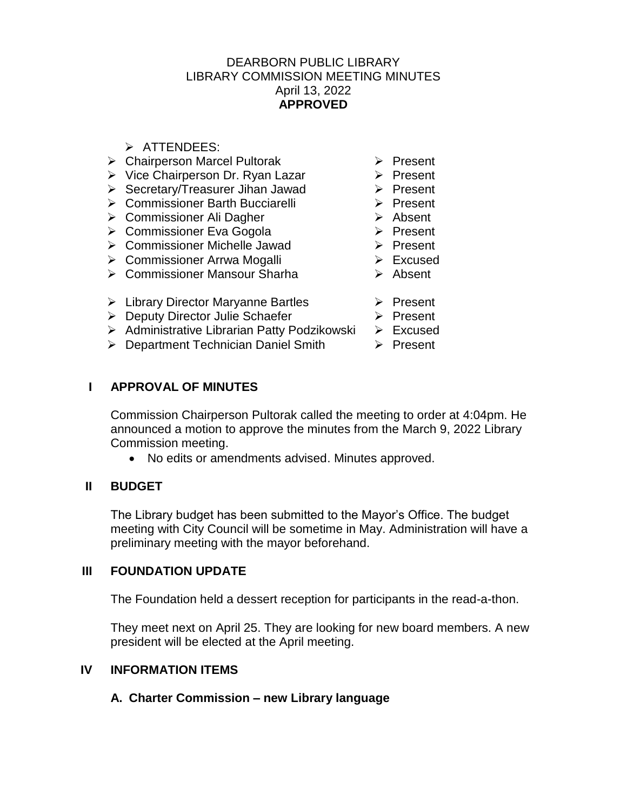## DEARBORN PUBLIC LIBRARY LIBRARY COMMISSION MEETING MINUTES April 13, 2022 **APPROVED**

- $\triangleright$  ATTENDEES:
- ▶ Chairperson Marcel Pultorak ▶ Present
- $\triangleright$  Vice Chairperson Dr. Ryan Lazar  $\triangleright$  Present
- Secretary/Treasurer Jihan Jawad > Present
- > Commissioner Barth Bucciarelli > Present
- **► Commissioner Ali Dagher**
- **► Commissioner Eva Gogola**
- ▶ Commissioner Michelle Jawad → Present
- Commissioner Arrwa Mogalli
- Commissioner Mansour Sharha
- $\triangleright$  Library Director Maryanne Bartles  $\triangleright$  Present
- ▶ Deputy Director Julie Schaefer
- > Administrative Librarian Patty Podzikowski > Excused
- ▶ Department Technician Daniel Smith ▶ Present
- 
- 
- 
- 
- > Absent
- $\triangleright$  Present
	-
- $\triangleright$  Excused
- **►** Absent
	-
	- $\triangleright$  Present
		-
		-

# **I APPROVAL OF MINUTES**

Commission Chairperson Pultorak called the meeting to order at 4:04pm. He announced a motion to approve the minutes from the March 9, 2022 Library Commission meeting.

No edits or amendments advised. Minutes approved.

# **II BUDGET**

The Library budget has been submitted to the Mayor's Office. The budget meeting with City Council will be sometime in May. Administration will have a preliminary meeting with the mayor beforehand.

## **III FOUNDATION UPDATE**

The Foundation held a dessert reception for participants in the read-a-thon.

They meet next on April 25. They are looking for new board members. A new president will be elected at the April meeting.

## **IV INFORMATION ITEMS**

# **A. Charter Commission – new Library language**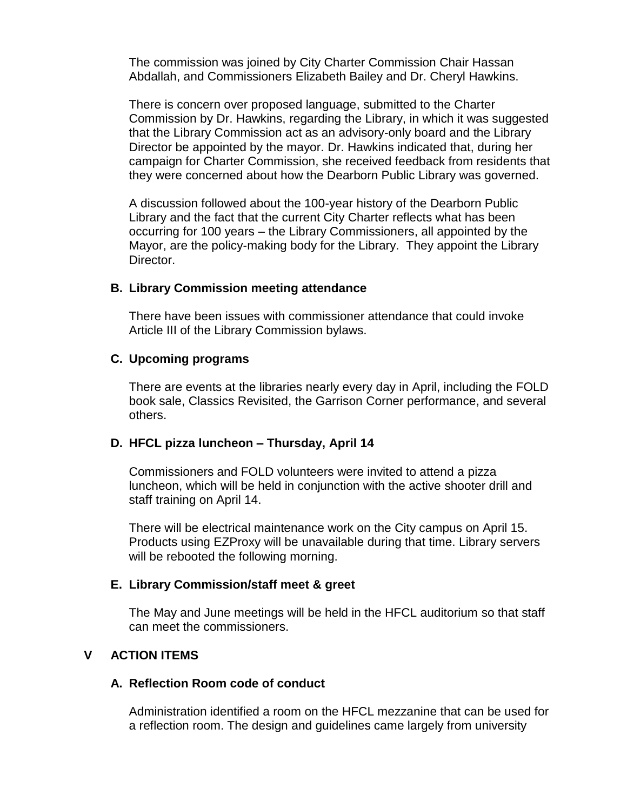The commission was joined by City Charter Commission Chair Hassan Abdallah, and Commissioners Elizabeth Bailey and Dr. Cheryl Hawkins.

There is concern over proposed language, submitted to the Charter Commission by Dr. Hawkins, regarding the Library, in which it was suggested that the Library Commission act as an advisory-only board and the Library Director be appointed by the mayor. Dr. Hawkins indicated that, during her campaign for Charter Commission, she received feedback from residents that they were concerned about how the Dearborn Public Library was governed.

A discussion followed about the 100-year history of the Dearborn Public Library and the fact that the current City Charter reflects what has been occurring for 100 years – the Library Commissioners, all appointed by the Mayor, are the policy-making body for the Library. They appoint the Library Director.

### **B. Library Commission meeting attendance**

There have been issues with commissioner attendance that could invoke Article III of the Library Commission bylaws.

#### **C. Upcoming programs**

There are events at the libraries nearly every day in April, including the FOLD book sale, Classics Revisited, the Garrison Corner performance, and several others.

#### **D. HFCL pizza luncheon – Thursday, April 14**

Commissioners and FOLD volunteers were invited to attend a pizza luncheon, which will be held in conjunction with the active shooter drill and staff training on April 14.

There will be electrical maintenance work on the City campus on April 15. Products using EZProxy will be unavailable during that time. Library servers will be rebooted the following morning.

### **E. Library Commission/staff meet & greet**

The May and June meetings will be held in the HFCL auditorium so that staff can meet the commissioners.

### **V ACTION ITEMS**

### **A. Reflection Room code of conduct**

Administration identified a room on the HFCL mezzanine that can be used for a reflection room. The design and guidelines came largely from university